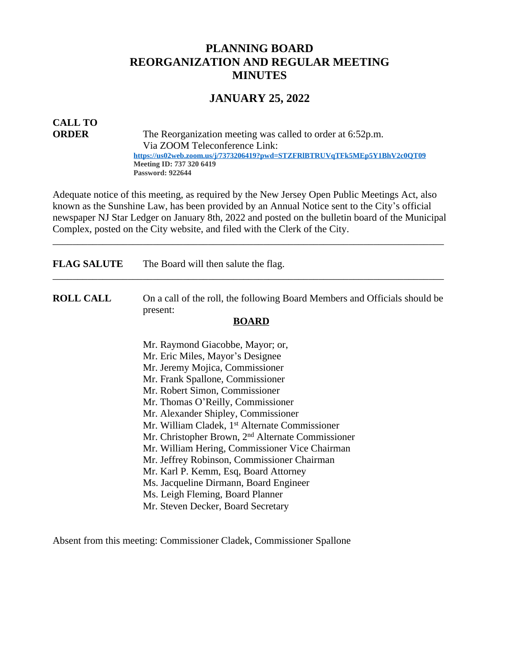# **PLANNING BOARD REORGANIZATION AND REGULAR MEETING MINUTES**

# **JANUARY 25, 2022**

# **CALL TO**

**ORDER** The Reorganization meeting was called to order at 6:52p.m. Via ZOOM Teleconference Link:  **<https://us02web.zoom.us/j/7373206419?pwd=STZFRlBTRUVqTFk5MEp5Y1BhV2c0QT09> Meeting ID: 737 320 6419 Password: 922644**

Adequate notice of this meeting, as required by the New Jersey Open Public Meetings Act, also known as the Sunshine Law, has been provided by an Annual Notice sent to the City's official newspaper NJ Star Ledger on January 8th, 2022 and posted on the bulletin board of the Municipal Complex, posted on the City website, and filed with the Clerk of the City.

\_\_\_\_\_\_\_\_\_\_\_\_\_\_\_\_\_\_\_\_\_\_\_\_\_\_\_\_\_\_\_\_\_\_\_\_\_\_\_\_\_\_\_\_\_\_\_\_\_\_\_\_\_\_\_\_\_\_\_\_\_\_\_\_\_\_\_\_\_\_\_\_\_\_\_\_\_\_

| <b>FLAG SALUTE</b> | The Board will then salute the flag.                                                   |
|--------------------|----------------------------------------------------------------------------------------|
| <b>ROLL CALL</b>   | On a call of the roll, the following Board Members and Officials should be<br>present: |
|                    | <b>BOARD</b>                                                                           |
|                    | Mr. Raymond Giacobbe, Mayor; or,                                                       |
|                    | Mr. Eric Miles, Mayor's Designee                                                       |
|                    | Mr. Jeremy Mojica, Commissioner                                                        |
|                    | Mr. Frank Spallone, Commissioner                                                       |
|                    | Mr. Robert Simon, Commissioner                                                         |
|                    | Mr. Thomas O'Reilly, Commissioner                                                      |
|                    | Mr. Alexander Shipley, Commissioner                                                    |
|                    | Mr. William Cladek, 1 <sup>st</sup> Alternate Commissioner                             |
|                    | Mr. Christopher Brown, 2 <sup>nd</sup> Alternate Commissioner                          |
|                    | Mr. William Hering, Commissioner Vice Chairman                                         |
|                    | Mr. Jeffrey Robinson, Commissioner Chairman                                            |
|                    | Mr. Karl P. Kemm, Esq, Board Attorney                                                  |
|                    | Ms. Jacqueline Dirmann, Board Engineer                                                 |
|                    | Ms. Leigh Fleming, Board Planner                                                       |
|                    | Mr. Steven Decker, Board Secretary                                                     |

Absent from this meeting: Commissioner Cladek, Commissioner Spallone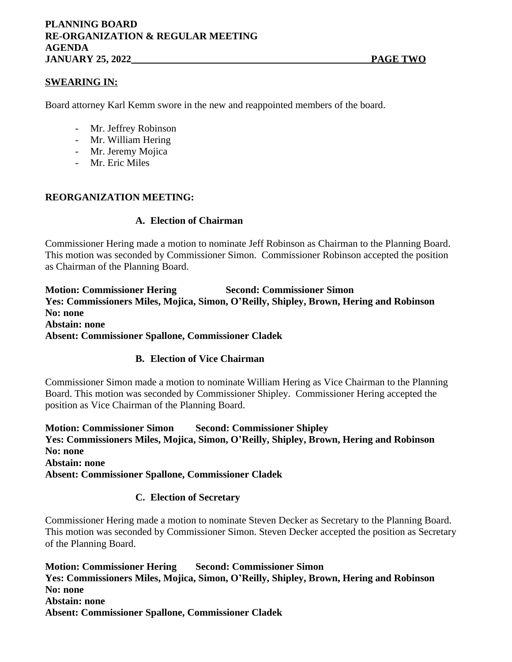# **SWEARING IN:**

Board attorney Karl Kemm swore in the new and reappointed members of the board.

- Mr. Jeffrey Robinson
- Mr. William Hering
- Mr. Jeremy Mojica
- Mr. Eric Miles

#### **REORGANIZATION MEETING:**

#### **A. Election of Chairman**

Commissioner Hering made a motion to nominate Jeff Robinson as Chairman to the Planning Board. This motion was seconded by Commissioner Simon. Commissioner Robinson accepted the position as Chairman of the Planning Board.

**Motion: Commissioner Hering Second: Commissioner Simon Yes: Commissioners Miles, Mojica, Simon, O'Reilly, Shipley, Brown, Hering and Robinson No: none Abstain: none Absent: Commissioner Spallone, Commissioner Cladek**

## **B. Election of Vice Chairman**

Commissioner Simon made a motion to nominate William Hering as Vice Chairman to the Planning Board. This motion was seconded by Commissioner Shipley. Commissioner Hering accepted the position as Vice Chairman of the Planning Board.

**Motion: Commissioner Simon Second: Commissioner Shipley Yes: Commissioners Miles, Mojica, Simon, O'Reilly, Shipley, Brown, Hering and Robinson No: none Abstain: none Absent: Commissioner Spallone, Commissioner Cladek**

## **C. Election of Secretary**

Commissioner Hering made a motion to nominate Steven Decker as Secretary to the Planning Board. This motion was seconded by Commissioner Simon. Steven Decker accepted the position as Secretary of the Planning Board.

**Motion: Commissioner Hering Second: Commissioner Simon Yes: Commissioners Miles, Mojica, Simon, O'Reilly, Shipley, Brown, Hering and Robinson No: none Abstain: none Absent: Commissioner Spallone, Commissioner Cladek**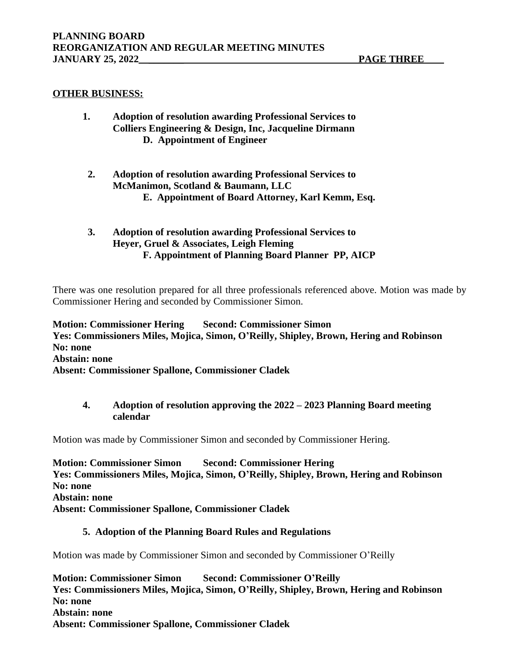#### **OTHER BUSINESS:**

- **1. Adoption of resolution awarding Professional Services to Colliers Engineering & Design, Inc, Jacqueline Dirmann D. Appointment of Engineer**
	- **2. Adoption of resolution awarding Professional Services to McManimon, Scotland & Baumann, LLC E. Appointment of Board Attorney, Karl Kemm, Esq.**
	- **3. Adoption of resolution awarding Professional Services to Heyer, Gruel & Associates, Leigh Fleming F. Appointment of Planning Board Planner PP, AICP**

There was one resolution prepared for all three professionals referenced above. Motion was made by Commissioner Hering and seconded by Commissioner Simon.

**Motion: Commissioner Hering Second: Commissioner Simon Yes: Commissioners Miles, Mojica, Simon, O'Reilly, Shipley, Brown, Hering and Robinson No: none Abstain: none Absent: Commissioner Spallone, Commissioner Cladek**

# **4. Adoption of resolution approving the 2022 – 2023 Planning Board meeting calendar**

Motion was made by Commissioner Simon and seconded by Commissioner Hering.

**Motion: Commissioner Simon Second: Commissioner Hering Yes: Commissioners Miles, Mojica, Simon, O'Reilly, Shipley, Brown, Hering and Robinson No: none Abstain: none Absent: Commissioner Spallone, Commissioner Cladek**

#### **5. Adoption of the Planning Board Rules and Regulations**

Motion was made by Commissioner Simon and seconded by Commissioner O'Reilly

**Motion: Commissioner Simon Second: Commissioner O'Reilly Yes: Commissioners Miles, Mojica, Simon, O'Reilly, Shipley, Brown, Hering and Robinson No: none Abstain: none Absent: Commissioner Spallone, Commissioner Cladek**